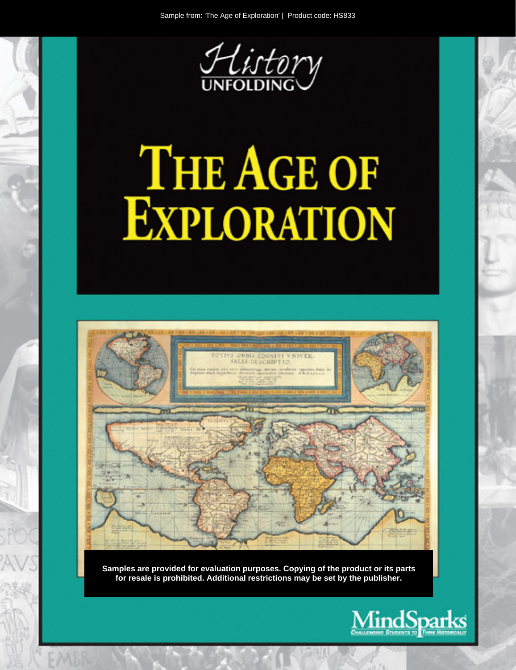

# THE AGE OF **EXPLORATION**



Samples are provided for evaluation purposes. Copying of the product or its parts for resale is prohibited. Additional restrictions may be set by the publisher.

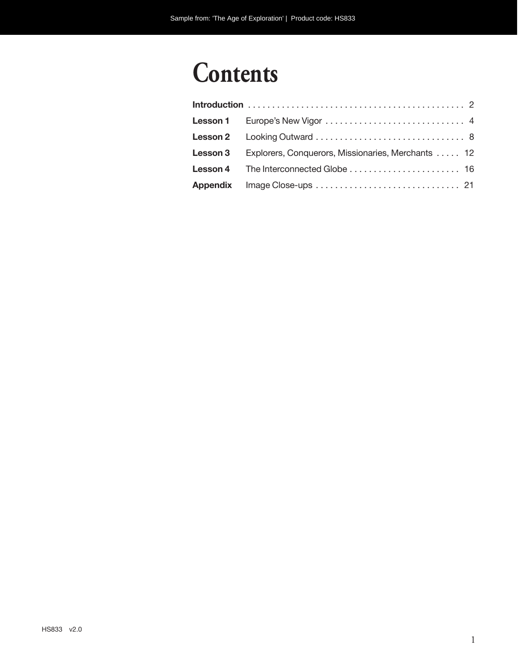# **Contents**

| Lesson 3 Explorers, Conquerors, Missionaries, Merchants  12 |
|-------------------------------------------------------------|
|                                                             |
|                                                             |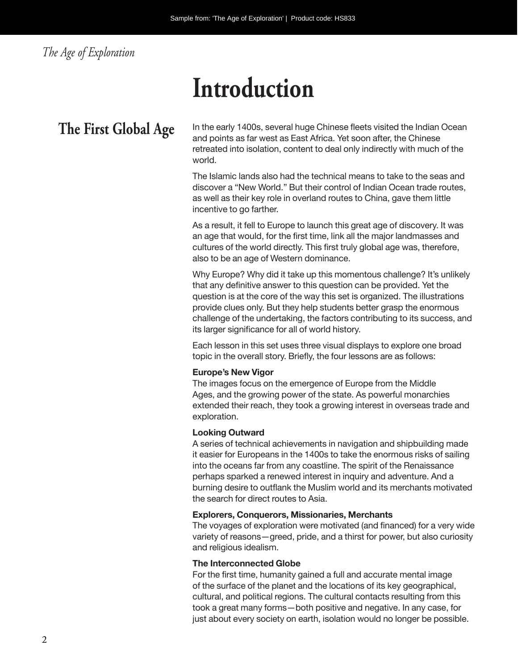### *The Age of Exploration*

# **Introduction**

The First Global Age In the early 1400s, several huge Chinese fleets visited the Indian Ocean and points as far west as East Africa. Yet soon after, the Chinese retreated into isolation, content to deal only indirectly with much of the world.

> The Islamic lands also had the technical means to take to the seas and discover a "New World." But their control of Indian Ocean trade routes, as well as their key role in overland routes to China, gave them little incentive to go farther.

> As a result, it fell to Europe to launch this great age of discovery. It was an age that would, for the first time, link all the major landmasses and cultures of the world directly. This first truly global age was, therefore, also to be an age of Western dominance.

Why Europe? Why did it take up this momentous challenge? It's unlikely that any definitive answer to this question can be provided. Yet the question is at the core of the way this set is organized. The illustrations provide clues only. But they help students better grasp the enormous challenge of the undertaking, the factors contributing to its success, and its larger significance for all of world history.

Each lesson in this set uses three visual displays to explore one broad topic in the overall story. Briefly, the four lessons are as follows:

#### **Europe's New Vigor**

The images focus on the emergence of Europe from the Middle Ages, and the growing power of the state. As powerful monarchies extended their reach, they took a growing interest in overseas trade and exploration.

#### **Looking Outward**

A series of technical achievements in navigation and shipbuilding made it easier for Europeans in the 1400s to take the enormous risks of sailing into the oceans far from any coastline. The spirit of the Renaissance perhaps sparked a renewed interest in inquiry and adventure. And a burning desire to outflank the Muslim world and its merchants motivated the search for direct routes to Asia.

#### **Explorers, Conquerors, Missionaries, Merchants**

The voyages of exploration were motivated (and financed) for a very wide variety of reasons—greed, pride, and a thirst for power, but also curiosity and religious idealism.

#### **The Interconnected Globe**

For the first time, humanity gained a full and accurate mental image of the surface of the planet and the locations of its key geographical, cultural, and political regions. The cultural contacts resulting from this took a great many forms—both positive and negative. In any case, for just about every society on earth, isolation would no longer be possible.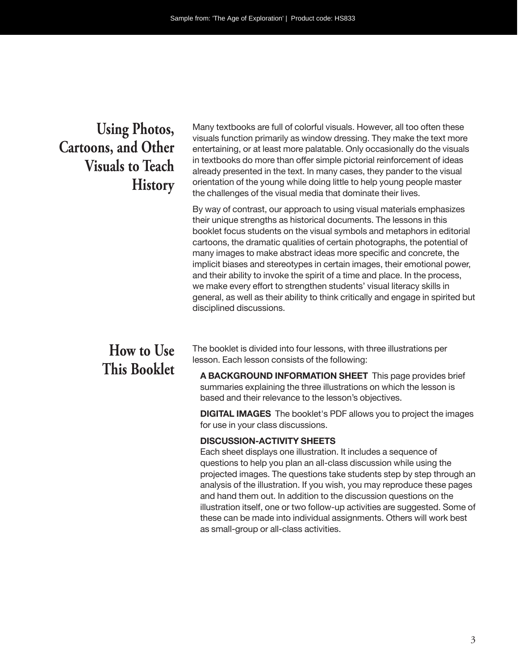## **Using Photos, Cartoons, and Other Visuals to Teach History**

Many textbooks are full of colorful visuals. However, all too often these visuals function primarily as window dressing. They make the text more entertaining, or at least more palatable. Only occasionally do the visuals in textbooks do more than offer simple pictorial reinforcement of ideas already presented in the text. In many cases, they pander to the visual orientation of the young while doing little to help young people master the challenges of the visual media that dominate their lives.

By way of contrast, our approach to using visual materials emphasizes their unique strengths as historical documents. The lessons in this booklet focus students on the visual symbols and metaphors in editorial cartoons, the dramatic qualities of certain photographs, the potential of many images to make abstract ideas more specific and concrete, the implicit biases and stereotypes in certain images, their emotional power, and their ability to invoke the spirit of a time and place. In the process, we make every effort to strengthen students' visual literacy skills in general, as well as their ability to think critically and engage in spirited but disciplined discussions.

### **How to Use This Booklet**

The booklet is divided into four lessons, with three illustrations per lesson. Each lesson consists of the following:

**A BACKGROUND INFORMATION SHEET** This page provides brief summaries explaining the three illustrations on which the lesson is based and their relevance to the lesson's objectives.

**DIGITAL IMAGES** The booklet's PDF allows you to project the images for use in your class discussions.

#### **DISCUSSION-ACTIVITY SHEETS**

Each sheet displays one illustration. It includes a sequence of questions to help you plan an all-class discussion while using the projected images. The questions take students step by step through an analysis of the illustration. If you wish, you may reproduce these pages and hand them out. In addition to the discussion questions on the illustration itself, one or two follow-up activities are suggested. Some of these can be made into individual assignments. Others will work best as small-group or all- class activities.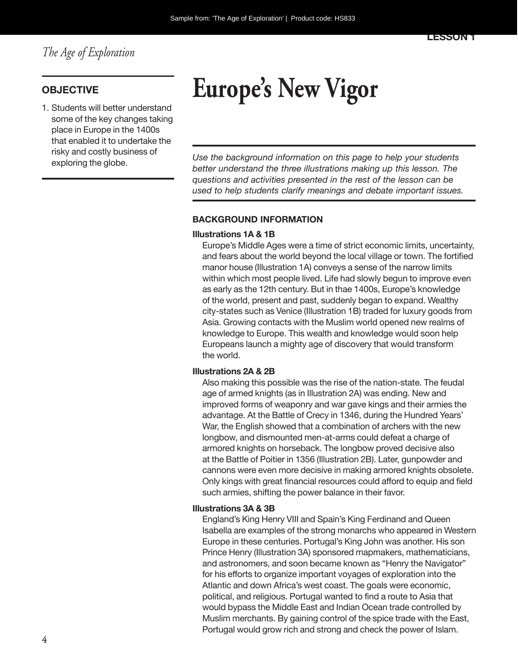1. Students will better understand some of the key changes taking place in Europe in the 1400s that enabled it to undertake the risky and costly business of

# **OBJECTIVE Europe's New Vigor**

exploring the globe. *Use the background information on this page to help your students better understand the three illustrations making up this lesson. The questions and activities presented in the rest of the lesson can be used to help students clarify meanings and debate important issues.*

#### **BACKGROUND INFORMATION**

#### **Illustrations 1A & 1B**

Europe's Middle Ages were a time of strict economic limits, uncertainty, and fears about the world beyond the local village or town. The fortified manor house (Illustration 1A) conveys a sense of the narrow limits within which most people lived. Life had slowly begun to improve even as early as the 12th century. But in thae 1400s, Europe's knowledge of the world, present and past, suddenly began to expand. Wealthy city-states such as Venice (Illustration 1B) traded for luxury goods from Asia. Growing contacts with the Muslim world opened new realms of knowledge to Europe. This wealth and knowledge would soon help Europeans launch a mighty age of discovery that would transform the world.

#### **Illustrations 2A & 2B**

Also making this possible was the rise of the nation-state. The feudal age of armed knights (as in Illustration 2A) was ending. New and improved forms of weaponry and war gave kings and their armies the advantage. At the Battle of Crecy in 1346, during the Hundred Years' War, the English showed that a combination of archers with the new longbow, and dismounted men-at-arms could defeat a charge of armored knights on horseback. The longbow proved decisive also at the Battle of Poitier in 1356 (Illustration 2B). Later, gunpowder and cannons were even more decisive in making armored knights obsolete. Only kings with great financial resources could afford to equip and field such armies, shifting the power balance in their favor.

#### **Illustrations 3A & 3B**

England's King Henry VIII and Spain's King Ferdinand and Queen Isabella are examples of the strong monarchs who appeared in Western Europe in these centuries. Portugal's King John was another. His son Prince Henry (Illustration 3A) sponsored mapmakers, mathematicians, and astronomers, and soon became known as "Henry the Navigator" for his efforts to organize important voyages of exploration into the Atlantic and down Africa's west coast. The goals were economic, political, and religious. Portugal wanted to find a route to Asia that would bypass the Middle East and Indian Ocean trade controlled by Muslim merchants. By gaining control of the spice trade with the East, Portugal would grow rich and strong and check the power of Islam.